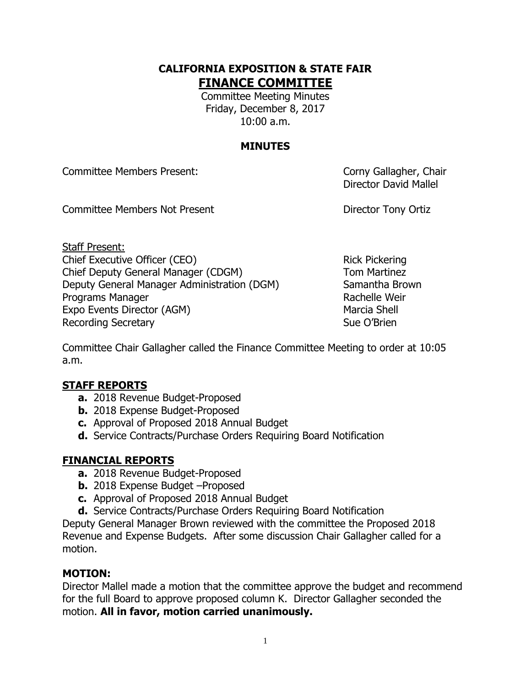#### **CALIFORNIA EXPOSITION & STATE FAIR FINANCE COMMITTEE**

Committee Meeting Minutes Friday, December 8, 2017 10:00 a.m.

# **MINUTES**

Committee Members Present: Committee Members Present:

Director David Mallel

Committee Members Not Present **Director Tony Ortiz** 

Staff Present: Chief Executive Officer (CEO) Rick Pickering Chief Deputy General Manager (CDGM) Tom Martinez Deputy General Manager Administration (DGM) Samantha Brown Programs Manager **Rachelle Weir** Rachelle Weir Expo Events Director (AGM) Marcia Shell Recording Secretary **Sue O'Brien** Sue O'Brien

Committee Chair Gallagher called the Finance Committee Meeting to order at 10:05 a.m.

## **STAFF REPORTS**

- **a.** 2018 Revenue Budget-Proposed
- **b.** 2018 Expense Budget-Proposed
- **c.** Approval of Proposed 2018 Annual Budget
- **d.** Service Contracts/Purchase Orders Requiring Board Notification

## **FINANCIAL REPORTS**

- **a.** 2018 Revenue Budget-Proposed
- **b.** 2018 Expense Budget –Proposed
- **c.** Approval of Proposed 2018 Annual Budget
- **d.** Service Contracts/Purchase Orders Requiring Board Notification

Deputy General Manager Brown reviewed with the committee the Proposed 2018 Revenue and Expense Budgets. After some discussion Chair Gallagher called for a motion.

## **MOTION:**

Director Mallel made a motion that the committee approve the budget and recommend for the full Board to approve proposed column K. Director Gallagher seconded the motion. **All in favor, motion carried unanimously.**